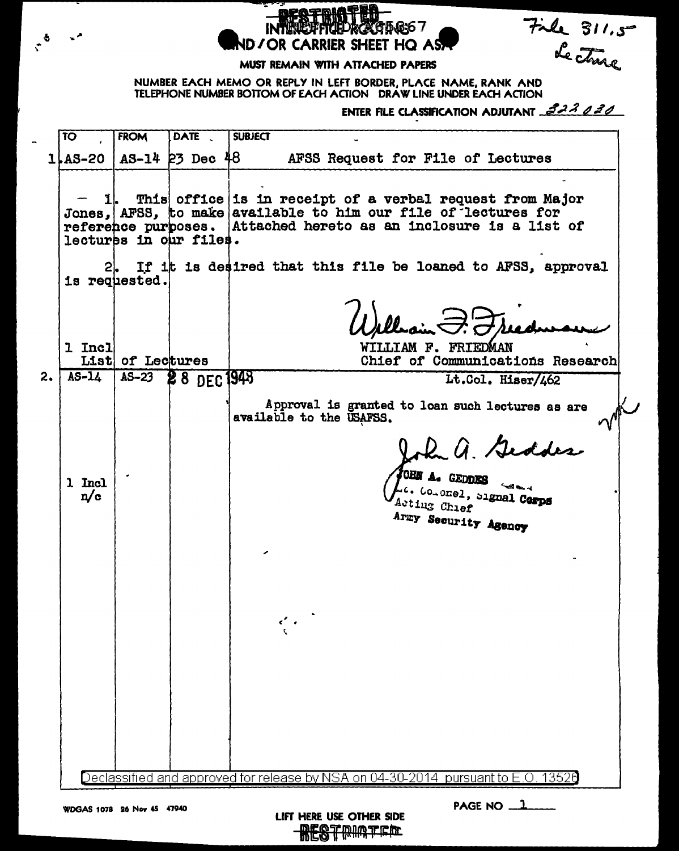File 311.5 kumo / ND / OR CARRIER SHEET HQ AS.

## MUST REMAIN WITH ATTACHED PAPERS

NUMBER EACH MEMO OR REPLY IN LEFT BORDER, PLACE NAME, RANK AND TELEPHONE NUMBER BOTTOM OF EACH ACTION DRAW LINE UNDER EACH ACTION

ENTER FILE CLASSIFICATION ADJUTANT 222202

DATE . **SUBJECT**  $\overline{10}$ **FROM**  $1$   $\&$  AS-20  $A3-14$   $23$  Dec  $48$ AFSS Request for File of Lectures This office is in receipt of a verbal request from Major Jones, AFSS, to make available to him our file of lectures for reference purposes. Attached hereto as an inclosure is a list of lectures in our files. If it is desired that this file be loaned to AFSS, approval is requested. 1 Incl WILLIAM F. FRIEDMAN List of Lectures Chief of Communications Research  $AS-L$  $AS-23$ 28 DEC 1948  $\mathbf{2}$ Lt.Col. Hiser/462 Approval is granted to loan such lectures as are  $\sim$ available to the USAFSS. 2 a Geddes OHN A. GEDDES 1 Incl ... Co.onel, Signal Corps  $n/c$ Acting Chief Army Security Agency Declassified and approved for release by NSA on 04-30-2014  $\,$  pursuant to E.O. 13526  $\,$ 

LIFT HERE USE OTHER SIDE **RESTRIATED** 

PAGE NO  $1$